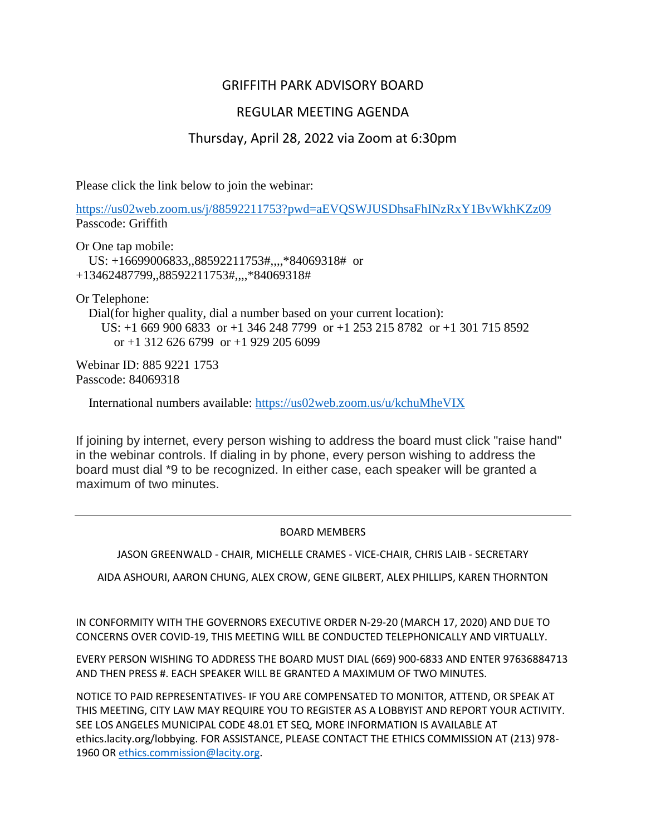# GRIFFITH PARK ADVISORY BOARD

## REGULAR MEETING AGENDA

## Thursday, April 28, 2022 via Zoom at 6:30pm

Please click the link below to join the webinar:

<https://us02web.zoom.us/j/88592211753?pwd=aEVQSWJUSDhsaFhINzRxY1BvWkhKZz09> Passcode: Griffith

Or One tap mobile: US: +16699006833,,88592211753#,,,,\*84069318# or +13462487799,,88592211753#,,,,\*84069318#

Or Telephone:

Dial(for higher quality, dial a number based on your current location): US: +1 669 900 6833 or +1 346 248 7799 or +1 253 215 8782 or +1 301 715 8592 or  $+1$  312 626 6799 or  $+1$  929 205 6099

Webinar ID: 885 9221 1753 Passcode: 84069318

International numbers available:<https://us02web.zoom.us/u/kchuMheVIX>

If joining by internet, every person wishing to address the board must click "raise hand" in the webinar controls. If dialing in by phone, every person wishing to address the board must dial \*9 to be recognized. In either case, each speaker will be granted a maximum of two minutes.

#### BOARD MEMBERS

JASON GREENWALD - CHAIR, MICHELLE CRAMES - VICE-CHAIR, CHRIS LAIB - SECRETARY

AIDA ASHOURI, AARON CHUNG, ALEX CROW, GENE GILBERT, ALEX PHILLIPS, KAREN THORNTON

IN CONFORMITY WITH THE GOVERNORS EXECUTIVE ORDER N-29-20 (MARCH 17, 2020) AND DUE TO CONCERNS OVER COVID-19, THIS MEETING WILL BE CONDUCTED TELEPHONICALLY AND VIRTUALLY.

EVERY PERSON WISHING TO ADDRESS THE BOARD MUST DIAL (669) 900-6833 AND ENTER 97636884713 AND THEN PRESS #. EACH SPEAKER WILL BE GRANTED A MAXIMUM OF TWO MINUTES.

NOTICE TO PAID REPRESENTATIVES- IF YOU ARE COMPENSATED TO MONITOR, ATTEND, OR SPEAK AT THIS MEETING, CITY LAW MAY REQUIRE YOU TO REGISTER AS A LOBBYIST AND REPORT YOUR ACTIVITY. SEE LOS ANGELES MUNICIPAL CODE 48.01 ET SEQ, MORE INFORMATION IS AVAILABLE AT ethics.lacity.org/lobbying. FOR ASSISTANCE, PLEASE CONTACT THE ETHICS COMMISSION AT (213) 978- 1960 O[R ethics.commission@lacity.org.](mailto:ethics.commission@lacity.org)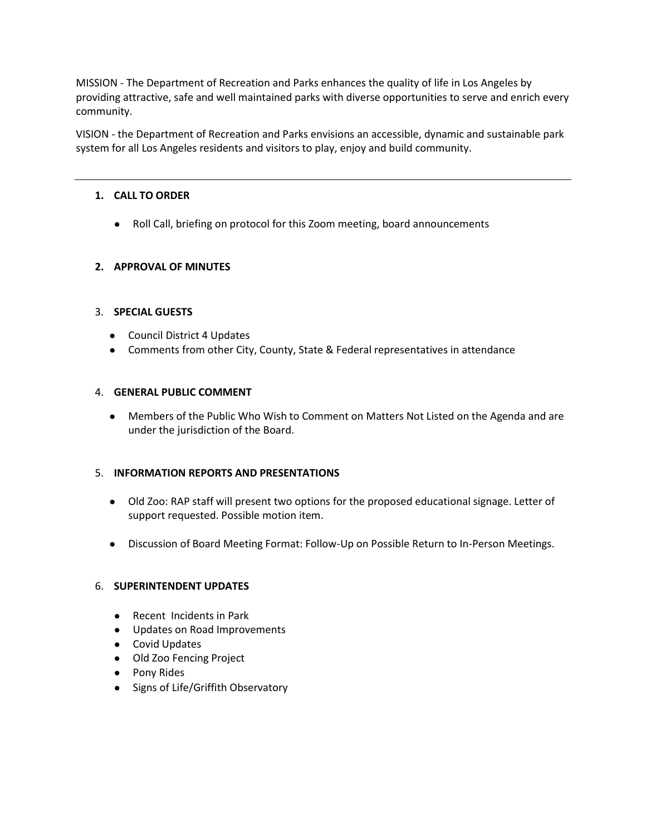MISSION - The Department of Recreation and Parks enhances the quality of life in Los Angeles by providing attractive, safe and well maintained parks with diverse opportunities to serve and enrich every community.

VISION - the Department of Recreation and Parks envisions an accessible, dynamic and sustainable park system for all Los Angeles residents and visitors to play, enjoy and build community.

#### **1. CALL TO ORDER**

● Roll Call, briefing on protocol for this Zoom meeting, board announcements

## **2. APPROVAL OF MINUTES**

#### 3. **SPECIAL GUESTS**

- Council District 4 Updates
- Comments from other City, County, State & Federal representatives in attendance

#### 4. **GENERAL PUBLIC COMMENT**

● Members of the Public Who Wish to Comment on Matters Not Listed on the Agenda and are under the jurisdiction of the Board.

#### 5. **INFORMATION REPORTS AND PRESENTATIONS**

- Old Zoo: RAP staff will present two options for the proposed educational signage. Letter of support requested. Possible motion item.
- Discussion of Board Meeting Format: Follow-Up on Possible Return to In-Person Meetings.

#### 6. **SUPERINTENDENT UPDATES**

- Recent Incidents in Park
- Updates on Road Improvements
- Covid Updates
- Old Zoo Fencing Project
- Pony Rides
- Signs of Life/Griffith Observatory